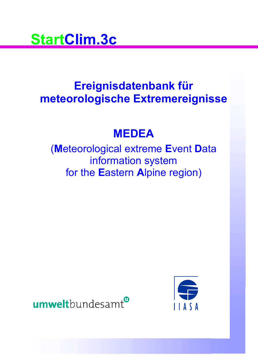

# **Ereignisdatenbank für meteorologische Extremereignisse**

# **MEDEA**

(**M**eteorological extreme **E**vent **D**ata information system for the **E**astern **A**lpine region)



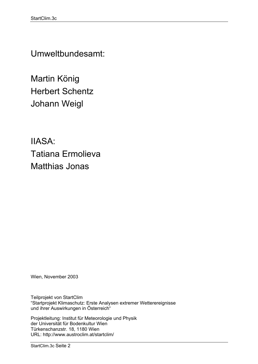Umweltbundesamt:

Martin König Herbert Schentz Johann Weigl

IIASA: Tatiana Ermolieva Matthias Jonas

Wien, November 2003

Teilprojekt von StartClim "Startprojekt Klimaschutz: Erste Analysen extremer Wetterereignisse und ihrer Auswirkungen in Österreich"

Projektleitung: Institut für Meteorologie und Physik der Universität für Bodenkultur Wien Türkenschanzstr. 18, 1180 Wien URL: http://www.austroclim.at/startclim/

StartClim.3c Seite 2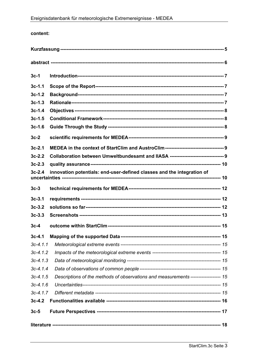### content:

| $3c-1$                                                                             |                                                                                     |  |  |  |  |  |
|------------------------------------------------------------------------------------|-------------------------------------------------------------------------------------|--|--|--|--|--|
| $3c-1.1$                                                                           |                                                                                     |  |  |  |  |  |
| $3c-1.2$                                                                           |                                                                                     |  |  |  |  |  |
| $3c-1.3$                                                                           |                                                                                     |  |  |  |  |  |
| $3c-1.4$                                                                           |                                                                                     |  |  |  |  |  |
| $3c-1.5$                                                                           |                                                                                     |  |  |  |  |  |
| $3c-1.6$                                                                           |                                                                                     |  |  |  |  |  |
| $3c-2$                                                                             |                                                                                     |  |  |  |  |  |
| $3c-2.1$                                                                           |                                                                                     |  |  |  |  |  |
| $3c-2.2$                                                                           |                                                                                     |  |  |  |  |  |
| $3c-2.3$                                                                           |                                                                                     |  |  |  |  |  |
| $3c-2.4$<br>innovation potentials: end-user-defined classes and the integration of |                                                                                     |  |  |  |  |  |
| $3c-3$                                                                             |                                                                                     |  |  |  |  |  |
| $3c-3.1$                                                                           |                                                                                     |  |  |  |  |  |
| $3c-3.2$                                                                           |                                                                                     |  |  |  |  |  |
| $3c-3.3$                                                                           |                                                                                     |  |  |  |  |  |
| $3c-4$                                                                             |                                                                                     |  |  |  |  |  |
| $3c-4.1$                                                                           |                                                                                     |  |  |  |  |  |
| $3c-4.1.1$                                                                         |                                                                                     |  |  |  |  |  |
| $3c-4.1.2$                                                                         |                                                                                     |  |  |  |  |  |
| $3c-4.1.3$                                                                         |                                                                                     |  |  |  |  |  |
| $3c-4.1.4$                                                                         |                                                                                     |  |  |  |  |  |
| $3c-4.1.5$                                                                         | Descriptions of the methods of observations and measurements ------------------- 15 |  |  |  |  |  |
| $3c-4.16$                                                                          |                                                                                     |  |  |  |  |  |
| $3c-4.1.7$                                                                         |                                                                                     |  |  |  |  |  |
| $3c-4.2$                                                                           |                                                                                     |  |  |  |  |  |
| $3c-5$                                                                             |                                                                                     |  |  |  |  |  |
|                                                                                    |                                                                                     |  |  |  |  |  |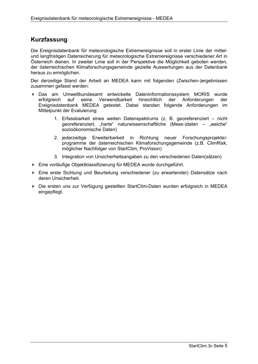### **Kurzfassung**

Die Ereignisdatenbank für meteorologische Extremereignisse soll in erster Linie der mittelund langfristigen Datensicherung für meteorologische Extremereignisse verschiedener Art in Österreich dienen. In zweiter Linie soll in der Perspektive die Möglichkeit geboten werden, der österreichischen Klimaforschungsgemeinde gezielte Auswertungen aus der Datenbank heraus zu ermöglichen.

Der derzeitige Stand der Arbeit an MEDEA kann mit folgenden (Zwischen-)ergebnissen zusammen gefasst werden:

- Das am Umweltbundesamt entwickelte Dateninformationssystem MORIS wurde erfolgreich auf seine Verwendbarkeit hinsichtlich der Anforderungen der Ereignisdatenbank MEDEA getestet. Dabei standen folgende Anforderungen im Mittelpunkt der Evaluierung:
	- 1. Erfassbarkeit eines weiten Datenspektrums (z. B. georeferenziert nicht georeferenziert, "harte" naturwissenschaftliche (Mess-)daten – "weiche" sozioökonomische Daten)
	- 2. jederzeitige Erweiterbarkeit in Richtung neuer Forschungsprojekte/ programme der österreichischen Klimaforschungsgemeinde (z.B. ClimRisk, möglicher Nachfolger von StartClim, ProVision)
	- 3. Integration von Unsicherheitsangaben zu den verschiedenen Daten(sätzen)
- Eine vorläufige Objektklassifizierung für MEDEA wurde durchgeführt.
- Eine erste Sichtung und Beurteilung verschiedener (zu erwartender) Datensätze nach deren Unsicherheit.
- Die ersten uns zur Verfügung gestellten StartClim-Daten wurden erfolgreich in MEDEA eingepflegt.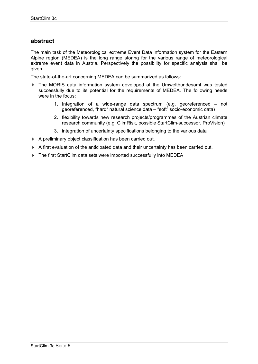### **abstract**

The main task of the Meteorological extreme Event Data information system for the Eastern Alpine region (MEDEA) is the long range storing for the various range of meteorological extreme event data in Austria. Perspectively the possibility for specific analysis shall be given.

The state-of-the-art concerning MEDEA can be summarized as follows:

- The MORIS data information system developed at the Umweltbundesamt was tested successfully due to its potential for the requirements of MEDEA. The following needs were in the focus:
	- 1. Integration of a wide-range data spectrum (e.g. georeferenced not georeferenced, "hard" natural science data – "soft" socio-economic data)
	- 2. flexibility towards new research projects/programmes of the Austrian climate research community (e.g. ClimRisk, possible StartClim-successor, ProVision)
	- 3. integration of uncertainty specifications belonging to the various data
- A preliminary object classification has been carried out.
- A first evaluation of the anticipated data and their uncertainty has been carried out.
- ▶ The first StartClim data sets were imported successfully into MEDEA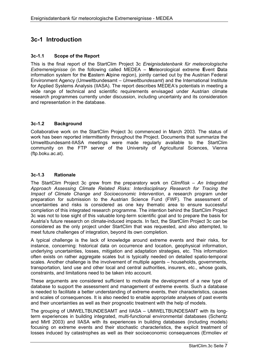# **3c-1 Introduction**

### **3c-1.1 Scope of the Report**

This is the final report of the StartClim Project 3c *Ereignisdatenbank für meteorologische Extremereignisse* (in the following called MEDEA – **M**eteorological extreme **E**vent **D**ata information system for the **E**astern **A**lpine region), jointly carried out by the Austrian Federal Environment Agency (Umweltbundesamt – *Umweltbundesamt*) and the International Institute for Applied Systems Analysis (IIASA). The report describes MEDEA's potentials in meeting a wide range of technical and scientific requirements envisaged under Austrian climate research programmes currently under discussion, including uncertainty and its consideration and representation in the database.

### **3c-1.2 Background**

Collaborative work on the StartClim Project 3c commenced in March 2003. The status of work has been reported intermittently throughout the Project. Documents that summarize the Umweltbundesamt-IIASA meetings were made regularly available to the StartClim community on the FTP server of the University of Agricultural Sciences, Vienna (ftp.boku.ac.at).

### **3c-1.3 Rationale**

The StartClim Project 3c grew from the preparatory work on *ClimRisk – An Integrated Approach Assessing Climate Related Risks: Interdisciplinary Research for Tracing the Impact of Climate Change and Socioeconomic Intervention*, a research program under preparation for submission to the Austrian Science Fund (FWF). The assessment of uncertainties and risks is considered as one key thematic area to ensure successful completion of this integrated research programme. The intention behind the StartClim Project 3c was not to lose sight of this valuable long-term scientific goal and to prepare the basis for Austria's future research on climate-induced impacts. In fact, the StartClim Project 3c can be considered as the only project under StartClim that was requested, and also attempted, to meet future challenges of integration, beyond its own completion.

A typical challenge is the lack of knowledge around extreme events and their risks, for instance, concerning: historical data on occurrence and location, geophysical information, underlying uncertainties, losses, mitigation and adaptation strategies, etc. This information often exists on rather aggregate scales but is typically needed on detailed spatio-temporal scales. Another challenge is the involvement of multiple agents – households, governments, transportation, land use and other local and central authorities, insurers, etc., whose goals, constraints, and limitations need to be taken into account.

These arguments are considered sufficient to motivate the development of a new type of database to support the assessment and management of extreme events. Such a database is needed to facilitate a better understanding of extreme events, their characteristics, causes and scales of consequences. It is also needed to enable appropriate analyses of past events and their uncertainties as well as their prognostic treatment with the help of models.

The grouping of UMWELTBUNDESAMT and IIASA – UMWELTBUNDESAMT with its longterm experiences in building integrated, multi-functional environmental databases (Schentz and Mirtl 2003) and IIASA with its experiences in building databases (including models) focusing on extreme events and their stochastic characteristics, the explicit treatment of losses induced by catastrophes as well as their socioeconomic consequences (Ermoliev *et*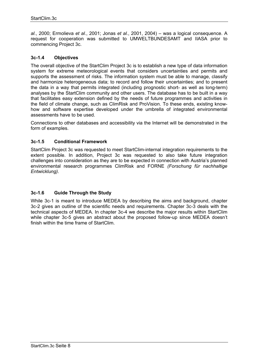*al.*, 2000; Ermolieva *et al.*, 2001; Jonas *et al.*, 2001, 2004) – was a logical consequence. A request for cooperation was submitted to UMWELTBUNDESAMT and IIASA prior to commencing Project 3c.

### **3c-1.4 Objectives**

The overall objective of the StartClim Project 3c is to establish a new type of data information system for extreme meteorological events that considers uncertainties and permits and supports the assessment of risks. The information system must be able to manage, classify and harmonize heterogeneous data; to record and follow their uncertainties; and to present the data in a way that permits integrated (including prognostic short- as well as long-term) analyses by the StartClim community and other users. The database has to be built in a way that facilitates easy extension defined by the needs of future programmes and activities in the field of climate change, such as ClimRisk and ProVision. To these ends, existing knowhow and software expertise developed under the umbrella of integrated environmental assessments have to be used.

Connections to other databases and accessibility via the Internet will be demonstrated in the form of examples.

### **3c-1.5 Conditional Framework**

StartClim Project 3c was requested to meet StartClim-internal integration requirements to the extent possible. In addition, Project 3c was requested to also take future integration challenges into consideration as they are to be expected in connection with Austria's planned environmental research programmes ClimRisk and FORNE *(Forschung für nachhaltige Entwicklung)*.

### **3c-1.6 Guide Through the Study**

While 3c-1 is meant to introduce MEDEA by describing the aims and background, chapter 3c-2 gives an outline of the scientific needs and requirements. Chapter 3c-3 deals with the technical aspects of MEDEA. In chapter 3c-4 we describe the major results within StartClim while chapter 3c-5 gives an abstract about the proposed follow-up since MEDEA doesn't finish within the time frame of StartClim.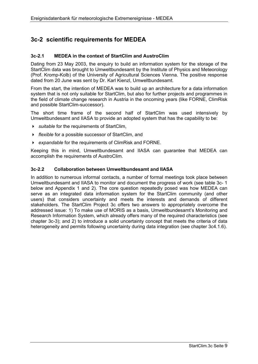# **3c-2 scientific requirements for MEDEA**

### **3c-2.1 MEDEA in the context of StartClim and AustroClim**

Dating from 23 May 2003, the enquiry to build an information system for the storage of the StartClim data was brought to Umweltbundesamt by the Institute of Physics and Meteorology (Prof. Kromp-Kolb) of the University of Agricultural Sciences Vienna. The positive response dated from 20 June was sent by Dr. Karl Kienzl, Umweltbundesamt.

From the start, the intention of MEDEA was to build up an architecture for a data information system that is not only suitable for StartClim, but also for further projects and programmes in the field of climate change research in Austria in the oncoming years (like FORNE, ClimRisk and possible StartClim-successor).

The short time frame of the second half of StartClim was used intensively by Umweltbundesamt and IIASA to provide an adopted system that has the capability to be:

- *suitable* for the requirements of StartClim,
- *flexible* for a possible successor of StartClim, and
- *expandable* for the requirements of ClimRisk and FORNE.

Keeping this in mind, Umweltbundesamt and IIASA can guarantee that MEDEA can accomplish the requirements of AustroClim.

### **3c-2.2 Collaboration between Umweltbundesamt and IIASA**

In addition to numerous informal contacts, a number of formal meetings took place between Umweltbundesamt and IIASA to monitor and document the progress of work (see table 3c- 1 below and Appendix 1 and 2). The core question repeatedly posed was how MEDEA can serve as an integrated data information system for the StartClim community (and other users) that considers uncertainty and meets the interests and demands of different stakeholders. The StartClim Project 3c offers two answers to appropriately overcome the addressed issue: 1) To make use of MORIS as a basis, Umweltbundesamt's Monitoring and Research Information System, which already offers many of the required characteristics (see chapter 3c-3); and 2) to introduce a solid uncertainty concept that meets the criteria of data heterogeneity and permits following uncertainty during data integration (see chapter 3c4.1.6).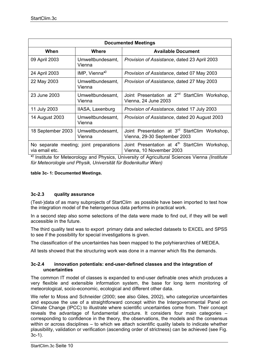| <b>Documented Meetings</b> |                                         |                                                                                           |  |  |  |
|----------------------------|-----------------------------------------|-------------------------------------------------------------------------------------------|--|--|--|
| When                       | Where                                   | <b>Available Document</b>                                                                 |  |  |  |
| 09 April 2003              | Umweltbundesamt,<br>Vienna              | Provision of Assistance, dated 23 April 2003                                              |  |  |  |
| 24 April 2003              | $IMP, Vienna^*$                         | Provision of Assistance, dated 07 May 2003                                                |  |  |  |
| 22 May 2003                | Umweltbundesamt,<br>Vienna              | Provision of Assistance, dated 27 May 2003                                                |  |  |  |
| 23 June 2003               | Umweltbundesamt,<br>Vienna              | Joint Presentation at 2 <sup>nd</sup> StartClim Workshop,<br>Vienna, 24 June 2003         |  |  |  |
| 11 July 2003               | IIASA, Laxenburg                        | Provision of Assistance, dated 17 July 2003                                               |  |  |  |
| 14 August 2003             | Umweltbundesamt,<br>Vienna              | Provision of Assistance, dated 20 August 2003                                             |  |  |  |
| 18 September 2003          | Umweltbundesamt,<br>Vienna              | Joint Presentation at 3 <sup>rd</sup> StartClim Workshop,<br>Vienna, 29-30 September 2003 |  |  |  |
| via email etc.             | No separate meeting; joint preparations | Joint Presentation at 4 <sup>th</sup> StartClim Workshop,<br>Vienna, 10 November 2003     |  |  |  |

**\* )** Institute for Meteorology and Physics, University of Agricultural Sciences Vienna *(Institute für Meteorologie und Physik, Universität für Bodenkultur Wien)*

**table 3c- 1: Documented Meetings.** 

### **3c-2.3 quality assurance**

(Test-)data of as many subprojects of StartClim as possible have been imported to test how the integration model of the heterogenous data performs in practical work.

In a second step also some selections of the data were made to find out, if they will be well accessible in the future.

The third quality test was to export primary data and selected datasets to EXCEL and SPSS to see if the possibility for special investigations is given.

The classification of the uncertainties has been mapped to the polyhierarchies of MEDEA.

All tests showed that the structuring work was done in a manner which fits the demands.

### **3c-2.4 innovation potentials: end-user-defined classes and the integration of uncertainties**

The common IT model of classes is expanded to end-user definable ones which produces a very flexible and extensible information system, the base for long term monitoring of meteorological, socio-economic, ecological and different other data.

We refer to Moss and Schneider (2000; see also Giles, 2002), who categorize uncertainties and espouse the use of a straightforward concept within the Intergovernmental Panel on Climate Change (IPCC) to illustrate where scientific uncertainties come from. Their concept reveals the advantage of fundamental structure. It considers four main categories – corresponding to confidence in the theory, the observations, the models and the consensus within or across disciplines – to which we attach scientific quality labels to indicate whether plausibility, validation or verification (ascending order of strictness) can be achieved (see Fig. 3c-1).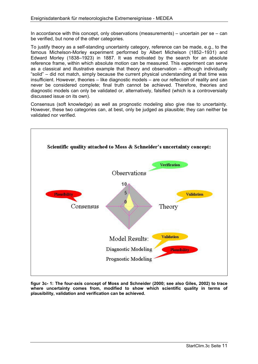In accordance with this concept, only observations (measurements) – uncertain per  $se - can$ be verified, but none of the other categories.

To justify theory as a self-standing uncertainty category, reference can be made, e.g., to the famous Michelson-Morley experiment performed by Albert Michelson (1852–1931) and Edward Morley (1838–1923) in 1887. It was motivated by the search for an absolute reference frame, within which absolute motion can be measured. This experiment can serve as a classical and illustrative example that theory and observation – although individually "solid" – did not match, simply because the current physical understanding at that time was insufficient. However, theories – like diagnostic models – are our reflection of reality and can never be considered complete; final truth cannot be achieved. Therefore, theories and diagnostic models can only be validated or, alternatively, falsified (which is a controversially discussed issue on its own).

Consensus (soft knowledge) as well as prognostic modeling also give rise to uncertainty. However, these two categories can, at best, only be judged as plausible; they can neither be validated nor verified.



**figur 3c- 1: The four-axis concept of Moss and Schneider (2000; see also Giles, 2002) to trace where uncertainty comes from, modified to show which scientific quality in terms of plausibility, validation and verification can be achieved.**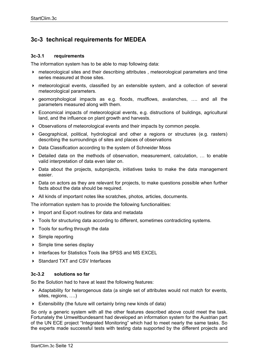# **3c-3 technical requirements for MEDEA**

### **3c-3.1 requirements**

The information system has to be able to map following data:

- meteorological sites and their describing attributes , meteorological parameters and time series measured at those sites.
- meteorological events, classified by an extensible system, and a collection of several meteorological parameters.
- geomorphological impacts as e.g. floods, mudflows, avalanches, …. and all the parameters measured along with them.
- Economical impacts of meteorological events, e.g. distructions of buildings, agricultural land, and the influence on plant growth and harvests.
- Observations of meteorological events and their impacts by common people.
- Geographical, political, hydrological and other a regions or structures (e.g. rasters) describing the surroundings of sites and places of observations
- Data Classification according to the system of Schneider Moss
- Detailed data on the methods of observation, measurement, calculation, … to enable valid interpretation of data even later on.
- $\triangleright$  Data about the projects, subprojects, initiatives tasks to make the data management easier.
- Data on actors as they are relevant for projects, to make questions possible when further facts about the data should be required.
- All kinds of important notes like scratches, photos, articles, documents.

The information system has to provide the following functionalities:

- ▶ Import and Export routines for data and metadata
- ▶ Tools for structuring data according to different, sometimes contradicting systems.
- ▶ Tools for surfing through the data
- ▶ Simple reporting
- $\triangleright$  Simple time series display
- Interfaces for Statistics Tools like SPSS and MS EXCEL
- ▶ Standard TXT and CSV Interfaces

### **3c-3.2 solutions so far**

So the Solution had to have at least the following features:

- Adaptability for heterogenous data (a single set of attributes would not match for events, sites, regions, ….)
- Extensibility (the future will certainly bring new kinds of data)

So only a generic system with all the other features described above could meet the task. Fortunately the Umweltbundesamt had developed an information system for the Austrian part of the UN ECE project "Integrated Monitoring" which had to meet nearly the same tasks. So the experts made successful tests with testing data supported by the different projects and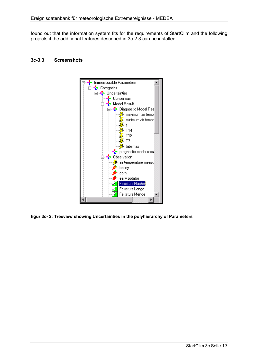found out that the information system fits for the requirements of StartClim and the following projects if the additional features described in 3c-2.3 can be installed.





**figur 3c- 2: Treeview showing Uncertainties in the polyhierarchy of Parameters**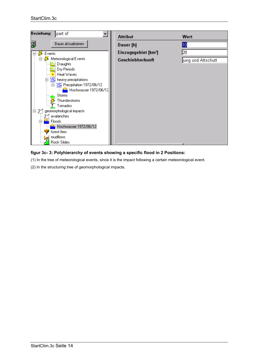

### **figur 3c- 3: Polyhierarchy of events showing a specific flood in 2 Positions:**

(1) In the tree of meteorological events, since it is the impact following a certain meteorological event.

(2) In the structuring tree of geomorphological impacts.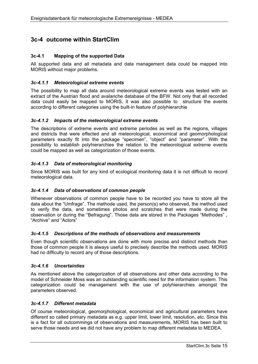### **3c-4 outcome within StartClim**

### **3c-4.1 Mapping of the supported Data**

All supported data and all metadata and data management data could be mapped into MORIS without major problems.

### *3c-4.1.1 Meteorological extreme events*

The possibility to map all data around meteorological extreme events was tested with an extract of the Austrian flood and avalanche database of the BFW. Not only that all recorded data could easily be mapped to MORIS, it was also possible to structure the events according to different categories using the built-in feature of polyhierarchie

### *3c-4.1.2 Impacts of the meteorological extreme events*

The descriptions of extreme events and extreme periodes as well as the regions, villages and districts that were effected and all meteorological, economical and geomorphological parameters exactly fit into the package "specimen", "object" and "parameter". With the possibility to establish polyhierarchies the relation to the meteorological extreme events could be mapped as well as categorization of those events.

### *3c-4.1.3 Data of meteorological monitoring*

Since MORIS was built for any kind of ecological monitoring data it is not difficult to record meteorological data.

### *3c-4.1.4 Data of observations of common people*

Whenever observations of common people have to be recorded you have to store all the data about the "Umfrage". The methode used, the person(s) who observed, the method used to verify the data, and sometimes photos and scratches that were made during the observation or during the "Befragung". Those data are stored in the Packages "Methodes" , "Archive" and "Actors"

### *3c-4.1.5 Descriptions of the methods of observations and measurements*

Even though scientific observations are done with more precise and distinct methods than those of common people it is always useful to precisely describe the methods used. MORIS had no difficulty to record any of those descriptions.

### *3c-4.1.6 Uncertainties*

As mentioned above the categorization of all observations and other data according to the model of Schneider Moss was an outstanding scientific need for the information system. This categorization could be management with the use of polyhierarchies amongst the parameters observed.

### *3c-4.1.7 Different metadata*

Of course meteorological, geomorphological, economical and agricultural parameters have different so called primary metadata as e.g. upper limit, lower limit, resolution, etc. Since this is a fact for all outcommings of observations and measurements, MORIS has been built to serve those needs and we did not have any problem to map different metadata to MEDEA.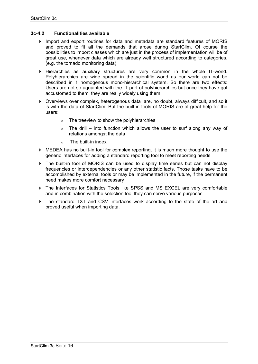### **3c-4.2 Functionalities available**

- Import and export routines for data and metadata are standard features of MORIS and proved to fit all the demands that arose during StartClim. Of course the possibilities to import classes which are just in the process of implementation will be of great use, whenever data which are already well structured according to categories. (e.g. the tornado monitoring data)
- $\triangleright$  Hierarchies as auxiliary structures are very common in the whole IT-world. Polyhierarchies are wide spread in the scientific world as our world can not be described in 1 homogenous mono-hierarchical system. So there are two effects: Users are not so aquainted with the IT part of polyhierarchies but once they have got accustomed to them, they are really widely using them.
- Overviews over complex, heterogenous data are, no doubt, always difficult, and so it is with the data of StartClim. But the built-in tools of MORIS are of great help for the users:
	- $\circ$  The treeview to show the polyhierarchies
	- The drill into function which allows the user to surf along any way of relations amongst the data
	- $\circ$  The built-in index
- MEDEA has no built-in tool for complex reporting, it is much more thought to use the generic interfaces for adding a standard reporting tool to meet reporting needs.
- The built-in tool of MORIS can be used to display time series but can not display frequencies or interdependencies or any other statistic facts. Those tasks have to be accomplished by external tools or may be implemented in the future, if the permanent need makes more comfort necessary
- The Interfaces for Statistics Tools like SPSS and MS EXCEL are very comfortable and in combination with the selection tool they can serve various purposes.
- The standard TXT and CSV Interfaces work according to the state of the art and proved useful when importing data.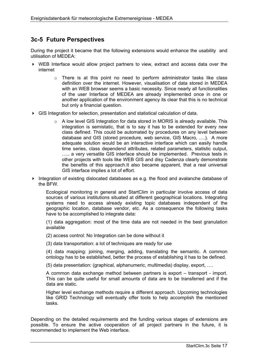### **3c-5 Future Perspectives**

During the project it became that the following extensions would enhance the usability and utilisation of MEDEA:

- WEB Interface would allow project partners to view, extract and access data over the internet
	- o There is at this point no need to perform administrator tasks like class definition over the internet. However, visualisation of data stored in MEDEA with an WEB browser seems a basic necessity. Since nearly all functionalities of the user Interface of MEDEA are already implemented once in one or another application of the environment agency its clear that this is no technical but only a financial question.
- GIS Integration for selection, presentation and statistical calculation of data.
	- $\circ$  A low level GIS Integration for data stored in MORIS is already available. This integration is semistatic, that is to say it has to be extended for every new class defined. This could be automated by procedures on any level between database and GIS (stored procedure, web service, GIS Macro, ….). A more adequate solution would be an interactive interface which can easily handle time series, class dependend attributes, related parameters, statistic output, ….. a very versatile GIS interface should be implemented. Previous tests in other projects with tools like WEB GIS and disy Cadenza clearly demonstrate the benefits of this approach.It also became apparent, that a real universal GIS interface implies a lot of effort.
- Integration of existing dislocated databases as e.g. the flood and avalanche database of the BFW.

Ecological monitoring in general and StartClim in particular involve access of data sources of various institutions situated at different geographical locations. Integrating systems need to access already existing topic databases independent of the geographic location, database vendor, etc. As a consequence the following tasks have to be accomplished to integrate data:

(1) data aggregation: most of the time data are not needed in the best granulation available

(2) access control: No Integration can be done without it

(3) data transportation: a lot of techniques are ready for use

(4) data mapping: joining, merging, adding, translating the semantic. A common ontology has to be established, better the process of establishing it has to be defined.

(5) data presentation: (graphical, alphanumeric, multimedia) display, export, ….

A common data exchange method between partners is export – transport - import. This can be quite useful for small amounts of data are to be transferred and if the data are static.

Higher level exchange methods require a different approach. Upcoming technologies like GRID Technology will eventually offer tools to help accomplish the mentioned tasks.

Depending on the detailed requirements and the funding various stages of extensions are possible. To ensure the active cooperation of all project partners in the future, it is recommended to implement the Web interface.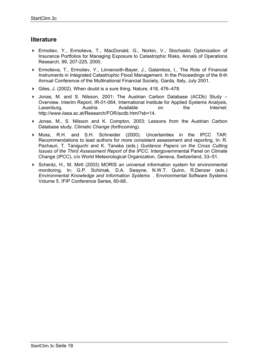### **literature**

- Ermoliev, Y., Ermolieva, T., MacDonald, G., Norkin, V., Stochastic Optimization of Insurance Portfolios for Managing Exposure to Catastrophic Risks, Annals of Operations Research, 99, 207-225, 2000.
- Ermolieva, T., Ermoliev, Y., Linnerooth-Bayer, J., Galambos, I., The Role of Financial Instruments in Integrated Catastrophic Flood Management. In the Proceedings of the 8-th Annual Conference of the Multinational Financial Society, Garda, Italy, July 2001.
- Giles, J. (2002). When doubt is a sure thing. Nature, 418, 476–478.
- ▶ Jonas, M. and S. Nilsson, 2001: The Austrian Carbon Database (ACDb) Study Overview. Interim Report, IR-01-064, International Institute for Applied Systems Analysis, Laxenburg, Austria. Available on the Internet: http://www.iiasa.ac.at/Research/FOR/acdb.html?sb=14.
- Jonas, M., S. Nilsson and K. Compton, 2003: Lessons from the Austrian Carbon Database study. *Climatic Change* (forthcoming).
- Moss, R.H. and S.H. Schneider (2000). Uncertainties in the IPCC TAR: Recommendations to lead authors for more consistent assessment and reporting. In: R. Pachauri, T. Taniguchi and K. Tanaka (eds.) *Guidance Papers on the Cross Cutting Issues of the Third Assessment Report of the IPCC.* Intergovernmental Panel on Climate Change (IPCC), c/o World Meteorological Organization, Geneva, Switzerland, 33–51.
- Schentz, H., M. Mirtl (2003) MORIS an universal information system for environmental monitoring. In: G.P. Schimak, D.A. Swayne, N.W.T. Quinn, R.Denzer (eds.) *Environmental Knowledge and Information Systems* . Environmental Software Systems Volume 5. IFIP Conference Series, 60-68..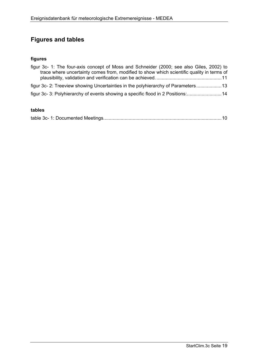# **Figures and tables**

### **figures**

| figur 3c- 1: The four-axis concept of Moss and Schneider (2000; see also Giles, 2002) to  |  |
|-------------------------------------------------------------------------------------------|--|
| trace where uncertainty comes from, modified to show which scientific quality in terms of |  |
|                                                                                           |  |
| figur 3c-2: Treeview showing Uncertainties in the polyhierarchy of Parameters13           |  |
| figur 3c-3: Polyhierarchy of events showing a specific flood in 2 Positions:14            |  |

### **tables**

|--|--|--|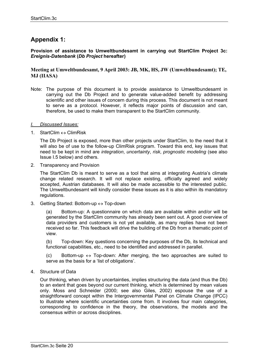## **Appendix 1:**

**Provision of assistance to Umweltbundesamt in carrying out StartClim Project 3c:**  *Ereignis-Datenbank* **(***Db Project* **hereafter)** 

### **Meeting at Umweltbundesamt, 9 April 2003: JB, MK, HS, JW (Umweltbundesamt); TE, MJ (IIASA)**

Note: The purpose of this document is to provide assistance to Umweltbundesamt in carrying out the Db Project and to generate value-added benefit by addressing scientific and other issues of concern during this process. This document is not meant to serve as a protocol. However, it reflects major points of discussion and can, therefore, be used to make them transparent to the StartClim community.

#### *I. Discussed Issues:*

1. StartClim  $\leftrightarrow$  ClimRisk

The Db Project is exposed, more than other projects under StartClim, to the need that it will also be of use to the follow-up ClimRisk program. Toward this end, key issues that need to be kept in mind are *integration*, *uncertainty*, *risk*, *prognostic modeling* (see also Issue I.5 below) and others.

2. Transparency and Provision

The StartClim Db is meant to serve as a tool that aims at integrating Austria's climate change related research. It will not replace existing, officially agreed and widely accepted, Austrian databases. It will also be made accessible to the interested public. The Umweltbundesamt will kindly consider these issues as it is also within its mandatory regulations.

3. Getting Started: Bottom-up  $\leftrightarrow$  Top-down

(a) Bottom-up: A questionnaire on which data are available within and/or will be generated by the StartClim community has already been sent out. A good overview of data providers and customers is not yet available, as many replies have not been received so far. This feedback will drive the building of the Db from a thematic point of view.

(b) Top-down: Key questions concerning the purposes of the Db, its technical and functional capabilities, etc., need to be identified and addressed in parallel.

(c) Bottom-up  $\leftrightarrow$  Top-down: After merging, the two approaches are suited to serve as the basis for a 'list of obligations'.

4. Structure of Data

Our thinking, when driven by uncertainties, implies structuring the data (and thus the Db) to an extent that goes beyond our current thinking, which is determined by mean values only. Moss and Schneider (2000; see also Giles, 2002) espouse the use of a straightforward concept within the Intergovernmental Panel on Climate Change (IPCC) to illustrate where scientific uncertainties come from. It involves four main categories, corresponding to confidence in the theory, the observations, the models and the consensus within or across disciplines.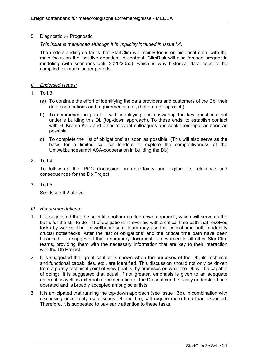### 5. Diagnostic ↔ Prognostic

### *This issue is mentioned although it is implicitly included in Issue I.4.*

The understanding so far is that StartClim will mainly focus on historical data, with the main focus on the last five decades. In contrast, ClimRisk will also foresee prognostic modeling (with scenarios until 2020/2050), which is why historical data need to be compiled for much longer periods.

### *II. Endorsed Issues:*

- $1. T_0 13.$ 
	- (a) To continue the effort of identifying the data providers and customers of the Db, their data contributions and requirements, etc., (bottom-up approach).
	- b) To commence, in parallel, with identifying and answering the key questions that underlie building this Db (top-down approach). To these ends, to establish contact with H. Kromp-Kolb and other relevant colleagues and seek their input as soon as possible.
	- c) To complete the 'list of obligations' as soon as possible. (This will also serve as the basis for a limited call for tenders to explore the competitiveness of the Umweltbundesamt/IIASA-cooperation in building the Db).
- 2. To I.4

To follow up the IPCC discussion on uncertainty and explore its relevance and consequences for the Db Project.

3. To I.5

See Issue II.2 above.

#### *III. Recommendations:*

- 1. It is suggested that the scientific bottom up–top down approach, which will serve as the basis for the still-to-do 'list of obligations' is overlaid with a critical time path that resolves tasks by weeks. The Umweltbundesamt team may use this critical time path to identify crucial bottlenecks. After the 'list of obligations' and the critical time path have been balanced, it is suggested that a summary document is forwarded to all other StartClim teams, providing them with the necessary information that are key to their interaction with the Db Project.
- 2. It is suggested that great caution is shown when the purposes of the Db, its technical and functional capabilities, etc., are identified. This discussion should not only be driven from a purely technical point of view (that is, by promises on what the Db will be capable of doing). It is suggested that equal, if not greater, emphasis is given to an adequate (internal as well as external) documentation of the Db so it can be easily understood and operated and is broadly accepted among scientists.
- 3. It is anticipated that running the top-down approach (see Issue I.3b), in combination with discussing uncertainty (see Issues I.4 and I.5), will require more time than expected. Therefore, it is suggested to pay early attention to these tasks.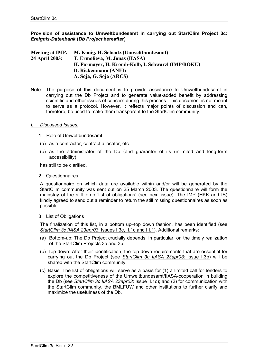### **Provision of assistance to Umweltbundesamt in carrying out StartClim Project 3c:**  *Ereignis-Datenbank* **(***Db Project* **hereafter)**

**Meeting at IMP, M. König, H. Schentz (Umweltbundesamt) 24 April 2003: T. Ermolieva, M. Jonas (IIASA) H. Formayer, H. Kromb-Kolb, I. Schwarzl (IMP/BOKU) D. Rickenmann (ANFI) A. Soja, G. Soja (ARCS)** 

Note: The purpose of this document is to provide assistance to Umweltbundesamt in carrying out the Db Project and to generate value-added benefit by addressing scientific and other issues of concern during this process. This document is not meant to serve as a protocol. However, it reflects major points of discussion and can, therefore, be used to make them transparent to the StartClim community.

#### *I. Discussed Issues:*

- 1. Role of Umweltbundesamt
- (a) as a contractor, contract allocator, etc.
- (b) as the administrator of the Db (and guarantor of its unlimited and long-term accessibility)

has still to be clarified.

2. Questionnaires

A questionnaire on which data are available within and/or will be generated by the StartClim community was sent out on 25 March 2003. The questionnaire will form the mainstay of the still-to-do 'list of obligations' (see next issue). The IMP (HKK and IS) kindly agreed to send out a reminder to return the still missing questionnaires as soon as possible.

3. List of Obligations

The finalization of this list, in a bottom up–top down fashion, has been identified (see *StartClim 3c IIASA 23apr03*: Issues I.3c, II.1c and III.1). Additional remarks:

- (a) Bottom-up: The Db Project crucially depends, in particular, on the timely realization of the StartClim Projects 3a and 3b.
- (b) Top-down: After their identification, the top-down requirements that are essential for carrying out the Db Project (see *StartClim 3c IIASA 23apr03*: Issue I.3b) will be shared with the StartClim community.
- (c) Basis: The list of obligations will serve as a basis for (1) a limited call for tenders to explore the competitiveness of the Umweltbundesamt/IIASA-cooperation in building the Db (see *StartClim 3c IIASA 23apr03*: Issue II.1c); and (2) for communication with the StartClim community, the BMLFUW and other institutions to further clarify and maximize the usefulness of the Db.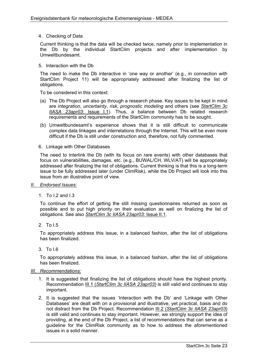### 4. Checking of Data

Current thinking is that the data will be checked twice, namely prior to implementation in the Db by the individual StartClim projects and after implementation by Umweltbundesamt.

#### 5. Interaction with the Db

The need to make the Db interactive in 'one way or another' (e.g., in connection with StartClim Project 11) will be appropriately addressed after finalizing the list of obligations.

To be considered in this context:

- (a) The Db Project will also go through a research phase. Key issues to be kept in mind are *integration*, *uncertainty*, *risk*, *prognostic modeling* and others (see *StartClim 3c IIASA 23apr03*: Issue I.1). Thus, a balance between Db related research requirements and requirements of the StartClim community has to be sought.
- (b) Umweltbundesamt's experience shows that it is still difficult to communicate complex data linkages and interrelations through the Internet. This will be even more difficult if the Db is still under construction and, therefore, not fully commented.
- 6. Linkage with Other Databases

The need to interlink the Db (with its focus on rare events) with other databases that focus on vulnerabilities, damages, etc. (e.g., BUWAL/CH, WLV/AT) will be appropriately addressed after finalizing the list of obligations. Current thinking is that this is a long-term issue to be fully addressed later (under ClimRisk), while the Db Project will look into this issue from an illustrative point of view.

- *II. Endorsed Issues:*
	- 1. To I.2 and I.3

To continue the effort of getting the still missing questionnaires returned as soon as possible and to put high priority on their evaluation as well on finalizing the list of obligations. See also *StartClim 3c IIASA 23apr03*: Issue II.1.

2. To I.5

To appropriately address this issue, in a balanced fashion, after the list of obligations has been finalized.

 $3.$  To  $16.$ 

To appropriately address this issue, in a balanced fashion, after the list of obligations has been finalized.

### *III. Recommendations:*

- 1. It is suggested that finalizing the list of obligations should have the highest priority. Recommendation III.1 (*StartClim 3c IIASA 23apr03*) is still valid and continues to stay important.
- 2. It is suggested that the issues 'Interaction with the Db' and 'Linkage with Other Databases' are dealt with on a provisional and illustrative, yet practical, basis and do not distract from the Db Project. Recommendation III.2 (*StartClim 3c IIASA 23apr03*) is still valid and continues to stay important. However, we strongly support the idea of providing, at the end of the Db Project, a list of recommendations that can serve as a guideline for the ClimRisk community as to how to address the aforementioned issues in a solid manner.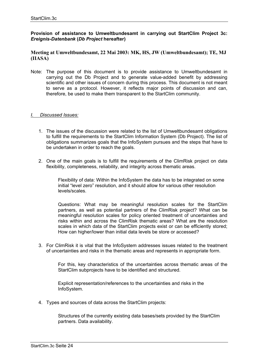### **Provision of assistance to Umweltbundesamt in carrying out StartClim Project 3c:**  *Ereignis-Datenbank* **(***Db Project* **hereafter)**

### **Meeting at Umweltbundesamt, 22 Mai 2003: MK, HS, JW (Umweltbundesamt); TE, MJ (IIASA)**

Note: The purpose of this document is to provide assistance to Umweltbundesamt in carrying out the Db Project and to generate value-added benefit by addressing scientific and other issues of concern during this process. This document is not meant to serve as a protocol. However, it reflects major points of discussion and can, therefore, be used to make them transparent to the StartClim community.

#### *I. Discussed Issues:*

- 1. The issues of the discussion were related to the list of Umweltbundesamt obligations to fulfill the requirements to the StartClim Information System (Db Project). The list of obligations summarizes goals that the InfoSystem pursues and the steps that have to be undertaken in order to reach the goals.
- 2. One of the main goals is to fulfill the requirements of the ClimRisk project on data flexibility, completeness, reliability, and integrity across thematic areas.

 Flexibility of data: Within the InfoSystem the data has to be integrated on some initial "level zero" resolution, and it should allow for various other resolution levels/scales.

 Questions: What may be meaningful resolution scales for the StartClim partners, as well as potential partners of the ClimRisk project? What can be meaningful resolution scales for policy oriented treatment of uncertainties and risks within and across the ClimRisk thematic areas? What are the resolution scales in which data of the StartClim projects exist or can be efficiently stored; How can higher/lower than initial data levels be store or accessed?

3. For ClimRisk it is vital that the InfoSystem addresses issues related to the treatment of uncertainties and risks in the thematic areas and represents in appropriate form.

> For this, key characteristics of the uncertainties across thematic areas of the StartClim subprojects have to be identified and structured.

 Explicit representation/references to the uncertainties and risks in the InfoSystem.

4. Types and sources of data across the StartClim projects:

 Structures of the currently existing data bases/sets provided by the StartClim partners. Data availability.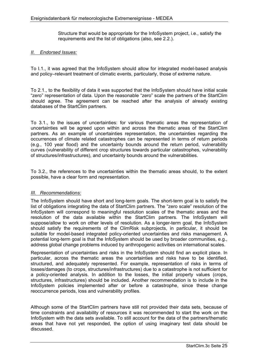Structure that would be appropriate for the InfoSystem project, i.e., satisfy the requirements and the list of obligations (also, see 2.2.).

### *II. Endorsed Issues:*

To I.1., it was agreed that the InfoSystem should allow for integrated model-based analysis and policy–relevant treatment of climatic events, particularly, those of extreme nature.

To 2.1., to the flexibility of data it was supported that the InfoSystem should have initial scale "zero" representation of data. Upon the reasonable "zero" scale the partners of the StartClim should agree. The agreement can be reached after the analysis of already existing databases of the StartClim partners.

To 3.1., to the issues of uncertainties: for various thematic areas the representation of uncertainties will be agreed upon within and across the thematic areas of the StartClim partners. As an example of uncertainties representation, the uncertainties regarding the occurrences of climate related catastrophes can be represented in terms of return periods (e.g., 100 year flood) and the uncertainty bounds around the return period, vulnerability curves (vulnerability of different crop structures towards particular catastrophes, vulnerability of structures/infrastructures), and uncertainty bounds around the vulnerabilities.

To 3.2., the references to the uncertainties within the thematic areas should, to the extent possible, have a clear form and representation.

### *III. Recommendations:*

The InfoSystem should have short and long-term goals. The short-term goal is to satisfy the list of obligations integrating the data of StartClim partners. The "zero scale" resolution of the InfoSystem will correspond to meaningful resolution scales of the thematic areas and the resolution of the data available within the StartClim partners. The InfoSystem will suppose/allow to work on other levels of resolution. As a longer-term goal, the InfoSystem should satisfy the requirements of the ClimRisk subprojects, in particular, it should be suitable for model-based integrated policy-oriented uncertainties and risks management. A potential long-term goal is that the InfoSystem should be used by broader communities, e.g., address global change problems induced by anthropogenic activities on international scales.

Representation of uncertainties and risks in the InfoSystem should find an explicit place. In particular, across the thematic areas the uncertainties and risks have to be identified, structured, and adequately represented. For example, representation of risks in terms of losses/damages (to crops, structures/infrastructures) due to a catastrophe is not sufficient for a policy-oriented analysis. In addition to the losses, the initial property values (crops, structures, infrastructures) should be included. Another recommendation is to include in the InfoSystem policies implemented after or before a catastrophe, since these change reoccurrence periods, loss and vulnerability profiles.

Although some of the StartClim partners have still not provided their data sets, because of time constraints and availability of resources it was recommended to start the work on the InfoSystem with the data sets available. To still account for the data of the partners/thematic areas that have not yet responded, the option of using imaginary test data should be discussed.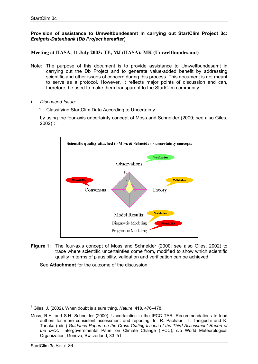### **Provision of assistance to Umweltbundesamt in carrying out StartClim Project 3c:**  *Ereignis-Datenbank* **(***Db Project* **hereafter)**

### **Meeting at IIASA, 11 July 2003: TE, MJ (IIASA); MK (Umweltbundesamt)**

- Note: The purpose of this document is to provide assistance to Umweltbundesamt in carrying out the Db Project and to generate value-added benefit by addressing scientific and other issues of concern during this process. This document is not meant to serve as a protocol. However, it reflects major points of discussion and can, therefore, be used to make them transparent to the StartClim community.
- *I. Discussed Issue:*
	- 1. Classifying StartClim Data According to Uncertainty

by using the four-axis uncertainty concept of Moss and Schneider (2000; see also Giles,  $2002)^{1}$ :



**Figure 1:** The four-axis concept of Moss and Schneider (2000; see also Giles, 2002) to trace where scientific uncertainties come from, modified to show which scientific quality in terms of plausibility, validation and verification can be achieved.

See **Attachment** for the outcome of the discussion.

<sup>1</sup> Giles, J. (2002). When doubt is a sure thing. *Nature*, **418**, 476–478.

Moss, R.H. and S.H. Schneider (2000). Uncertainties in the IPCC TAR: Recommendations to lead authors for more consistent assessment and reporting. In: R. Pachauri, T. Taniguchi and K. Tanaka (eds.) *Guidance Papers on the Cross Cutting Issues of the Third Assessment Report of the IPCC.* Intergovernmental Panel on Climate Change (IPCC), c/o World Meteorological Organization, Geneva, Switzerland, 33–51.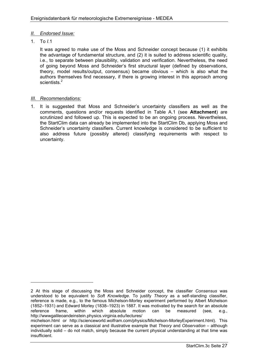### *II. Endorsed Issue:*

1. To *I*.1

It was agreed to make use of the Moss and Schneider concept because (1) it exhibits the advantage of fundamental structure, and (2) it is suited to address scientific quality, i.e., to separate between plausibility, validation and verification. Nevertheless, the need of going beyond Moss and Schneider's first structural layer (defined by observations, theory, model results/output, consensus) became obvious – which is also what the authors themselves find necessary, if there is growing interest in this approach among scientists.<sup>2</sup>

### *III. Recommendations:*

1. It is suggested that Moss and Schneider's uncertainty classifiers as well as the comments, questions and/or requests identified in Table A.1 (see **Attachment**) are scrutinized and followed up. This is expected to be an ongoing process. Nevertheless, the StartClim data can already be implemented into the StartClim Db, applying Moss and Schneider's uncertainty classifiers. Current knowledge is considered to be sufficient to also address future (possibly altered) classifying requirements with respect to uncertainty.

<sup>2</sup> At this stage of discussing the Moss and Schneider concept, the classifier *Consensus* was understood to be equivalent to *Soft Knowledge*. To justify *Theory* as a self-standing classifier, reference is made, e.g., to the famous Michelson-Morley experiment performed by Albert Michelson (1852–1931) and Edward Morley (1838–1923) in 1887. It was motivated by the search for an absolute reference frame, within which absolute motion can be measured (see, e.g., http://wwwgalileoandeinstein.physics.virginia.edu/lectures/

michelson.html or http://scienceworld.wolfram.com/physics/Michelson-MorleyExperiment.html). This experiment can serve as a classical and illustrative example that *Theory* and *Observation* – although individually solid – do not match, simply because the current physical understanding at that time was insufficient.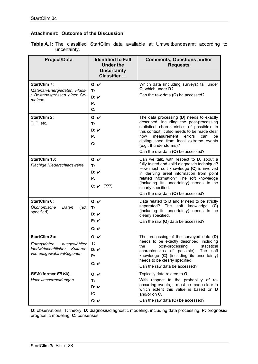### **Attachment: Outcome of the Discussion**

|  |              |  |  | <b>Table A.1:</b> The classified StartClim data available at Umweltbundesamt according to |  |
|--|--------------|--|--|-------------------------------------------------------------------------------------------|--|
|  | uncertainty. |  |  |                                                                                           |  |

| <b>Project/Data</b>                                                                                               | <b>Identified to Fall</b><br><b>Under the</b><br><b>Uncertainty</b><br>Classifier | <b>Comments, Questions and/or</b><br><b>Requests</b>                                                                                                                                                                                                                                                                                           |
|-------------------------------------------------------------------------------------------------------------------|-----------------------------------------------------------------------------------|------------------------------------------------------------------------------------------------------------------------------------------------------------------------------------------------------------------------------------------------------------------------------------------------------------------------------------------------|
| <b>StartClim 7:</b><br>Material-/Energiedaten, Fluss-<br>/ Bestandsgrössen einer Ge-<br>meinde                    | O: V<br>T:<br>D: V<br>Ρ:<br>$\mathbf{C}$ :                                        | Which data (including surveys) fall under<br>O, which under D?<br>Can the raw data (O) be accessed?                                                                                                                                                                                                                                            |
| <b>StartClim 2:</b><br>T, P, etc.                                                                                 | O: V<br>T:<br>D: V<br>P:<br>C:                                                    | The data processing $(D)$ needs to exactly<br>described, including the post-processing<br>statistical characteristics (if possible). In<br>this context, it also needs to be made clear<br>how<br>measurement<br>errors<br>can<br>be<br>distinguished from local extreme events<br>(e.g., thunderstorms)?<br>Can the raw data (O) be accessed? |
| <b>StartClim 13:</b><br>Flächige Niederschlagswerte                                                               | O: V<br>т:<br>D: V<br>P:<br>C: V (???)                                            | Can we talk, with respect to D, about a<br>fully tested and solid diagnostic technique?<br>How much soft knowledge (C) is involved<br>in deriving areal information from point<br>related information? The soft knowledge<br>(including its uncertainty) needs to be<br>clearly specified.<br>Can the raw data (O) be accessed?                |
| <b>StartClim 6:</b><br>Ökonomische<br>Daten<br>(not<br>specified)                                                 | O: V<br>T:<br>D: V<br>P: V<br>C: V                                                | Data related to <b>D</b> and <b>P</b> need to be strictly<br>separated? The<br>soft knowledge<br>(C)<br>(including its uncertainty) needs to be<br>clearly specified.<br>Can the raw (O) data be accessed?                                                                                                                                     |
| <b>StartClim 3b:</b><br>Ertragsdaten<br>ausgewählter<br>landwirtschaftlicher Kulturen<br>von ausgewähltenRegionen | O: V<br>Т:<br>D: V<br>P:<br>C: V                                                  | The processing of the surveyed data (D)<br>needs to be exactly described, including<br>post-processing<br>statistical<br>the<br>characteristics (if possible). The soft<br>knowledge (C) (including its uncertainty)<br>needs to be clearly specified.<br>Can the raw data be accessed?                                                        |
| <b>BFW (former FBVA):</b><br>Hochwassermeldungen                                                                  | O: V<br>Т.<br>D: V<br>P:<br>C: V                                                  | Typically data related to O.<br>With respect to the probability of re-<br>occurring events, it must be made clear to<br>which extent this value is based on D<br>and/or on C.<br>Can the raw data (O) be accessed?                                                                                                                             |

**O:** observations; **T:** theory; **D:** diagnosis/diagnostic modeling, including data processing; **P:** prognosis/ prognostic modeling; **C:** consensus.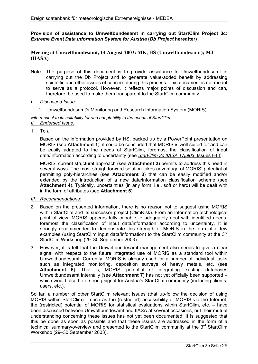### **Provision of assistance to Umweltbundesamt in carrying out StartClim Project 3c:**  *Extreme Event Data Information System for Austria* **(***Db Project* **hereafter)**

### **Meeting at Umweltbundesamt, 14 August 2003: MK, HS (Umweltbundesamt); MJ (IIASA)**

Note: The purpose of this document is to provide assistance to Umweltbundesamt in carrying out the Db Project and to generate value-added benefit by addressing scientific and other issues of concern during this process. This document is not meant to serve as a protocol. However, it reflects major points of discussion and can, therefore, be used to make them transparent to the StartClim community.

#### *I. Discussed Issue:*

1. Umweltbundesamt's Monitoring and Research Information System (MORIS)

*with respect to its suitability for and adaptability to the needs of StartClim. II. Endorsed Issue:*

1. To *I.*1

Based on the information provided by HS, backed up by a PowerPoint presentation on MORIS (see **Attachment 1**), it could be concluded that MORIS is well suited for and can be easily adapted to the needs of StartClim, foremost the classification of input data/information according to uncertainty (see *StartClim 3c IIASA 17jul03*: Issues I–III).

MORIS' current structural approach (see **Attachment 2**) permits to address this need in several ways. The most straightforward solution takes advantage of MORIS' potential of permitting poly-hierarchies (see **Attachment 3**) that can be easily modified and/or extended by the introduction of a new data/information classification scheme (see **Attachment 4**). Typically, uncertainties (in any form, i.e., soft or hard) will be dealt with in the form of attributes (see **Attachment 5**).

- *III. Recommendations:*
- 2. Based on the presented information, there is no reason not to suggest using MORIS within StartClim and its successor project (ClimRisk). From an information technological point of view, MORIS appears fully capable to adequately deal with identified needs, foremost the classification of input data/information according to uncertainty. It is strongly recommended to demonstrate this strength of MORIS in the form of a few examples (using StartClim input data/information) to the StartClim community at the 3<sup>rd</sup> StartClim Workshop (29–30 September 2003).
- 3. However, it is felt that the Umweltbundesamt management also needs to give a clear signal with respect to the future integrated use of MORIS as a standard tool within Umweltbundesamt. Currently, MORIS is already used for a number of individual tasks such as integrated monitoring, deposition surveys of heavy metals, etc. (see **Attachment 6**). That is, MORIS' potential of integrating existing databases Umweltbundesamt internally (see **Attachment 7**) has not yet officially been supported – which would also be a strong signal for Austria's StartClim community (including clients, users, etc.).

So far, a number of other StartClim relevant issues (that up-follow the decision of using MORIS within StartClim) – such as the (restricted) accessibility of MORIS via the Internet, the (restricted) potential of MORIS for statistical evaluations within StartClim, etc. – have been discussed between Umweltbundesamt and IIASA at several occasions, but their mutual understanding concerning these issues has not yet been documented. It is suggested that this be done as soon as possible and that these issues are addressed in the form of a technical summary/overview and presented to the StartClim community at the  $3<sup>rd</sup>$  StartClim Workshop (29–30 September 2003).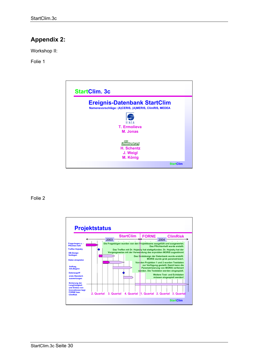# **Appendix 2:**

Workshop II:

Folie 1



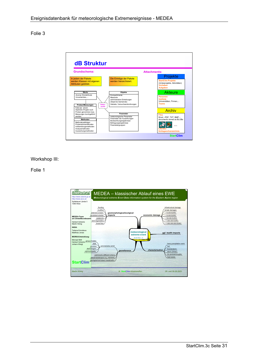

### Workshop III:

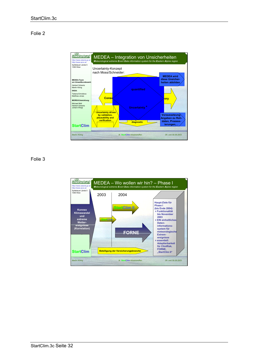

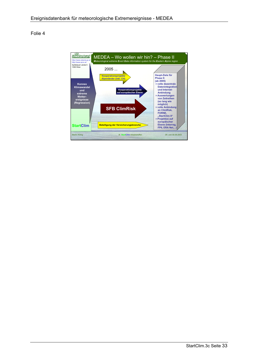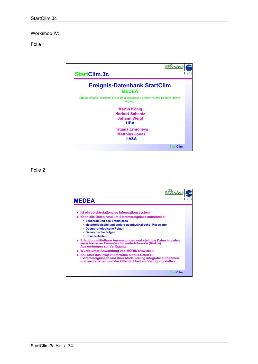Workshop IV:

Folie 1



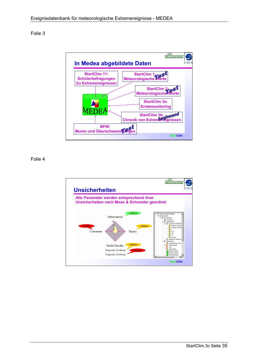